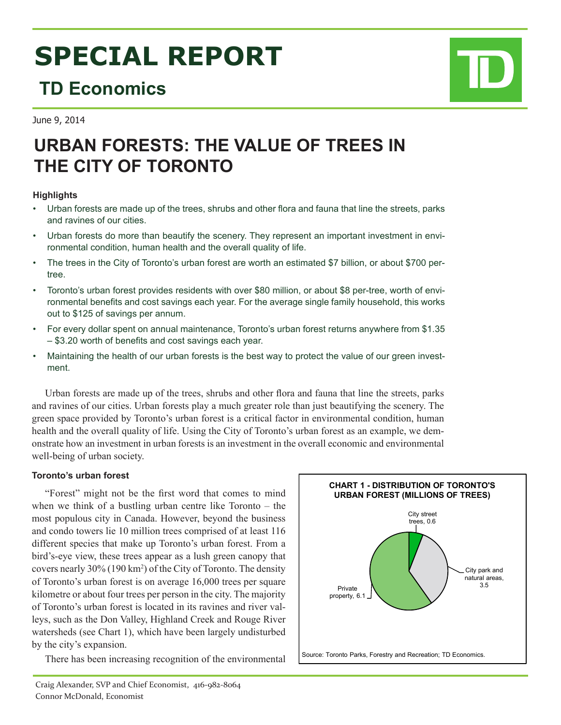# **SPECIAL REPORT**

# **TD Economics**

June 9, 2014

# **URBAN FORESTS: THE VALUE OF TREES IN THE CITY OF TORONTO**

## **Highlights**

- • Urban forests are made up of the trees, shrubs and other flora and fauna that line the streets, parks and ravines of our cities.
- • Urban forests do more than beautify the scenery. They represent an important investment in environmental condition, human health and the overall quality of life.
- The trees in the City of Toronto's urban forest are worth an estimated \$7 billion, or about \$700 pertree.
- Toronto's urban forest provides residents with over \$80 million, or about \$8 per-tree, worth of environmental benefits and cost savings each year. For the average single family household, this works out to \$125 of savings per annum.
- For every dollar spent on annual maintenance, Toronto's urban forest returns anywhere from \$1.35 – \$3.20 worth of benefits and cost savings each year.
- Maintaining the health of our urban forests is the best way to protect the value of our green investment.

Urban forests are made up of the trees, shrubs and other flora and fauna that line the streets, parks and ravines of our cities. Urban forests play a much greater role than just beautifying the scenery. The green space provided by Toronto's urban forest is a critical factor in environmental condition, human health and the overall quality of life. Using the City of Toronto's urban forest as an example, we demonstrate how an investment in urban forests is an investment in the overall economic and environmental well-being of urban society.

# **Toronto's urban forest**

"Forest" might not be the first word that comes to mind when we think of a bustling urban centre like Toronto – the most populous city in Canada. However, beyond the business and condo towers lie 10 million trees comprised of at least 116 different species that make up Toronto's urban forest. From a bird's-eye view, these trees appear as a lush green canopy that covers nearly 30% (190 km<sup>2</sup> ) of the City of Toronto. The density of Toronto's urban forest is on average 16,000 trees per square kilometre or about four trees per person in the city. The majority of Toronto's urban forest is located in its ravines and river valleys, such as the Don Valley, Highland Creek and Rouge River watersheds (see Chart 1), which have been largely undisturbed by the city's expansion.

There has been increasing recognition of the environmental



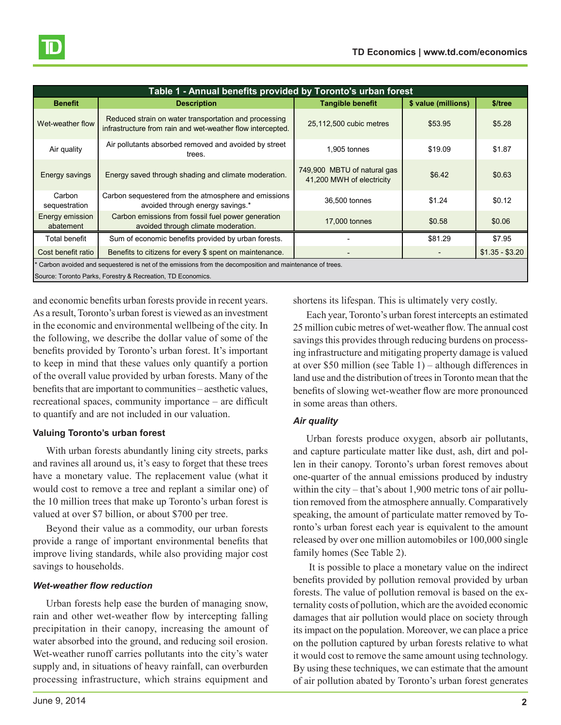| Table 1 - Annual benefits provided by Toronto's urban forest                                                                                                           |                                                                                                                     |                                                          |                     |                 |  |  |  |
|------------------------------------------------------------------------------------------------------------------------------------------------------------------------|---------------------------------------------------------------------------------------------------------------------|----------------------------------------------------------|---------------------|-----------------|--|--|--|
| <b>Benefit</b>                                                                                                                                                         | <b>Description</b>                                                                                                  | <b>Tangible benefit</b>                                  | \$ value (millions) | \$/tree         |  |  |  |
| Wet-weather flow                                                                                                                                                       | Reduced strain on water transportation and processing<br>infrastructure from rain and wet-weather flow intercepted. | 25,112,500 cubic metres                                  | \$53.95             | \$5.28          |  |  |  |
| Air quality                                                                                                                                                            | Air pollutants absorbed removed and avoided by street<br>trees.                                                     | 1.905 tonnes                                             | \$19.09             | \$1.87          |  |  |  |
| Energy savings                                                                                                                                                         | Energy saved through shading and climate moderation.                                                                | 749,900 MBTU of natural gas<br>41,200 MWH of electricity | \$6.42              | \$0.63          |  |  |  |
| Carbon<br>sequestration                                                                                                                                                | Carbon sequestered from the atmosphere and emissions<br>avoided through energy savings.*                            | 36,500 tonnes                                            | \$1.24              | \$0.12          |  |  |  |
| Energy emission<br>abatement                                                                                                                                           | Carbon emissions from fossil fuel power generation<br>avoided through climate moderation.                           | 17,000 tonnes                                            | \$0.58              | \$0.06          |  |  |  |
| Total benefit                                                                                                                                                          | Sum of economic benefits provided by urban forests.                                                                 |                                                          | \$81.29             | \$7.95          |  |  |  |
| Cost benefit ratio                                                                                                                                                     | Benefits to citizens for every \$ spent on maintenance.                                                             |                                                          |                     | $$1.35 - $3.20$ |  |  |  |
| Carbon avoided and sequestered is net of the emissions from the decomposition and maintenance of trees.<br>Source: Toronto Parks, Forestry & Recreation, TD Economics. |                                                                                                                     |                                                          |                     |                 |  |  |  |

and economic benefits urban forests provide in recent years. As a result, Toronto's urban forest is viewed as an investment in the economic and environmental wellbeing of the city. In the following, we describe the dollar value of some of the benefits provided by Toronto's urban forest. It's important to keep in mind that these values only quantify a portion of the overall value provided by urban forests. Many of the benefits that are important to communities – aesthetic values, recreational spaces, community importance – are difficult to quantify and are not included in our valuation.

#### **Valuing Toronto's urban forest**

With urban forests abundantly lining city streets, parks and ravines all around us, it's easy to forget that these trees have a monetary value. The replacement value (what it would cost to remove a tree and replant a similar one) of the 10 million trees that make up Toronto's urban forest is valued at over \$7 billion, or about \$700 per tree.

Beyond their value as a commodity, our urban forests provide a range of important environmental benefits that improve living standards, while also providing major cost savings to households.

### *Wet-weather flow reduction*

Urban forests help ease the burden of managing snow, rain and other wet-weather flow by intercepting falling precipitation in their canopy, increasing the amount of water absorbed into the ground, and reducing soil erosion. Wet-weather runoff carries pollutants into the city's water supply and, in situations of heavy rainfall, can overburden processing infrastructure, which strains equipment and

shortens its lifespan. This is ultimately very costly.

Each year, Toronto's urban forest intercepts an estimated 25 million cubic metres of wet-weather flow. The annual cost savings this provides through reducing burdens on processing infrastructure and mitigating property damage is valued at over \$50 million (see Table 1) – although differences in land use and the distribution of trees in Toronto mean that the benefits of slowing wet-weather flow are more pronounced in some areas than others.

### *Air quality*

Urban forests produce oxygen, absorb air pollutants, and capture particulate matter like dust, ash, dirt and pollen in their canopy. Toronto's urban forest removes about one-quarter of the annual emissions produced by industry within the city – that's about 1,900 metric tons of air pollution removed from the atmosphere annually. Comparatively speaking, the amount of particulate matter removed by Toronto's urban forest each year is equivalent to the amount released by over one million automobiles or 100,000 single family homes (See Table 2).

 It is possible to place a monetary value on the indirect benefits provided by pollution removal provided by urban forests. The value of pollution removal is based on the externality costs of pollution, which are the avoided economic damages that air pollution would place on society through its impact on the population. Moreover, we can place a price on the pollution captured by urban forests relative to what it would cost to remove the same amount using technology. By using these techniques, we can estimate that the amount of air pollution abated by Toronto's urban forest generates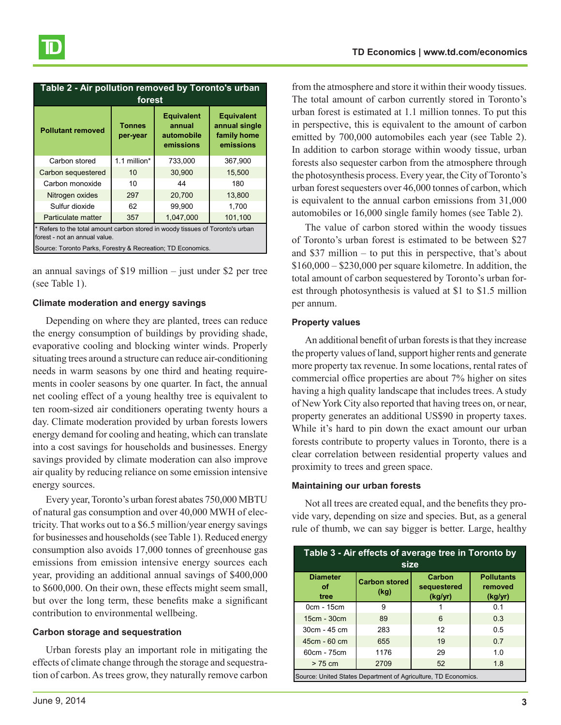| Table 2 - Air pollution removed by Toronto's urban<br>forest                                                                                                                   |                           |                                                        |                                                                |  |  |  |
|--------------------------------------------------------------------------------------------------------------------------------------------------------------------------------|---------------------------|--------------------------------------------------------|----------------------------------------------------------------|--|--|--|
| <b>Pollutant removed</b>                                                                                                                                                       | <b>Tonnes</b><br>per-year | <b>Equivalent</b><br>annual<br>automobile<br>emissions | <b>Equivalent</b><br>annual single<br>family home<br>emissions |  |  |  |
| Carbon stored                                                                                                                                                                  | 1.1 million*              | 733,000                                                | 367,900                                                        |  |  |  |
| Carbon sequestered                                                                                                                                                             | 10                        | 30,900                                                 | 15,500                                                         |  |  |  |
| Carbon monoxide                                                                                                                                                                | 10                        | 44                                                     | 180                                                            |  |  |  |
| Nitrogen oxides                                                                                                                                                                | 297                       | 20,700                                                 | 13,800                                                         |  |  |  |
| Sulfur dioxide                                                                                                                                                                 | 62                        | 99.900                                                 | 1,700                                                          |  |  |  |
| Particulate matter                                                                                                                                                             | 357                       | 1.047.000                                              | 101,100                                                        |  |  |  |
| * Refers to the total amount carbon stored in woody tissues of Toronto's urban<br>forest - not an annual value.<br>Source: Toronto Parks, Forestry & Recreation; TD Economics. |                           |                                                        |                                                                |  |  |  |

an annual savings of \$19 million – just under \$2 per tree (see Table 1).

#### **Climate moderation and energy savings**

Depending on where they are planted, trees can reduce the energy consumption of buildings by providing shade, evaporative cooling and blocking winter winds. Properly situating trees around a structure can reduce air-conditioning needs in warm seasons by one third and heating requirements in cooler seasons by one quarter. In fact, the annual net cooling effect of a young healthy tree is equivalent to ten room-sized air conditioners operating twenty hours a day. Climate moderation provided by urban forests lowers energy demand for cooling and heating, which can translate into a cost savings for households and businesses. Energy savings provided by climate moderation can also improve air quality by reducing reliance on some emission intensive energy sources.

Every year, Toronto's urban forest abates 750,000 MBTU of natural gas consumption and over 40,000 MWH of electricity. That works out to a \$6.5 million/year energy savings for businesses and households (see Table 1). Reduced energy consumption also avoids 17,000 tonnes of greenhouse gas emissions from emission intensive energy sources each year, providing an additional annual savings of \$400,000 to \$600,000. On their own, these effects might seem small, but over the long term, these benefits make a significant contribution to environmental wellbeing.

#### **Carbon storage and sequestration**

Urban forests play an important role in mitigating the effects of climate change through the storage and sequestration of carbon. As trees grow, they naturally remove carbon from the atmosphere and store it within their woody tissues. The total amount of carbon currently stored in Toronto's urban forest is estimated at 1.1 million tonnes. To put this in perspective, this is equivalent to the amount of carbon emitted by 700,000 automobiles each year (see Table 2). In addition to carbon storage within woody tissue, urban forests also sequester carbon from the atmosphere through the photosynthesis process. Every year, the City of Toronto's urban forest sequesters over 46,000 tonnes of carbon, which is equivalent to the annual carbon emissions from 31,000 automobiles or 16,000 single family homes (see Table 2).

The value of carbon stored within the woody tissues of Toronto's urban forest is estimated to be between \$27 and \$37 million – to put this in perspective, that's about  $$160,000 - $230,000$  per square kilometre. In addition, the total amount of carbon sequestered by Toronto's urban forest through photosynthesis is valued at \$1 to \$1.5 million per annum.

#### **Property values**

An additional benefit of urban forests is that they increase the property values of land, support higher rents and generate more property tax revenue. In some locations, rental rates of commercial office properties are about 7% higher on sites having a high quality landscape that includes trees. A study of New York City also reported that having trees on, or near, property generates an additional US\$90 in property taxes. While it's hard to pin down the exact amount our urban forests contribute to property values in Toronto, there is a clear correlation between residential property values and proximity to trees and green space.

#### **Maintaining our urban forests**

Not all trees are created equal, and the benefits they provide vary, depending on size and species. But, as a general rule of thumb, we can say bigger is better. Large, healthy

| Table 3 - Air effects of average tree in Toronto by<br>size    |                              |                                  |                                         |  |  |  |
|----------------------------------------------------------------|------------------------------|----------------------------------|-----------------------------------------|--|--|--|
| <b>Diameter</b><br>οf<br>tree                                  | <b>Carbon stored</b><br>(kg) | Carbon<br>sequestered<br>(kg/yr) | <b>Pollutants</b><br>removed<br>(kg/yr) |  |  |  |
| 0cm - 15cm                                                     | 9                            |                                  | 0.1                                     |  |  |  |
| 15cm - 30cm                                                    | 89                           | 6                                | 0.3                                     |  |  |  |
| 30cm - 45 cm                                                   | 283                          | 12                               | 0.5                                     |  |  |  |
| 45cm - 60 cm                                                   | 655                          | 19                               | 0.7                                     |  |  |  |
| 60cm - 75cm                                                    | 1176                         | 29                               | 1.0                                     |  |  |  |
| $> 75$ cm                                                      | 2709                         | 52                               | 1.8                                     |  |  |  |
| Source: United States Department of Agriculture, TD Economics. |                              |                                  |                                         |  |  |  |